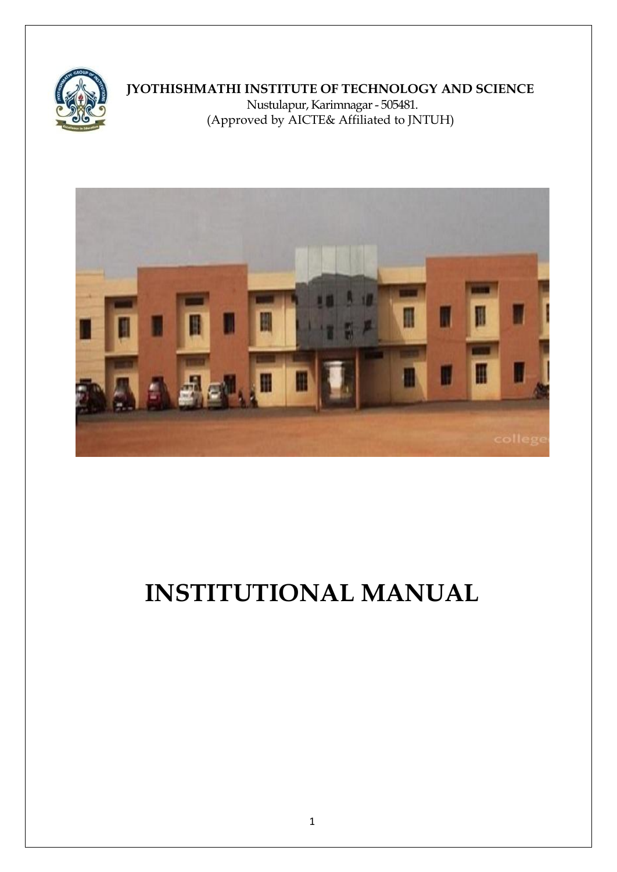

# **JYOTHISHMATHI INSTITUTE OF TECHNOLOGY AND SCIENCE**

Nustulapur, Karimnagar - 505481. (Approved by AICTE& Affiliated to JNTUH)



# **INSTITUTIONAL MANUAL**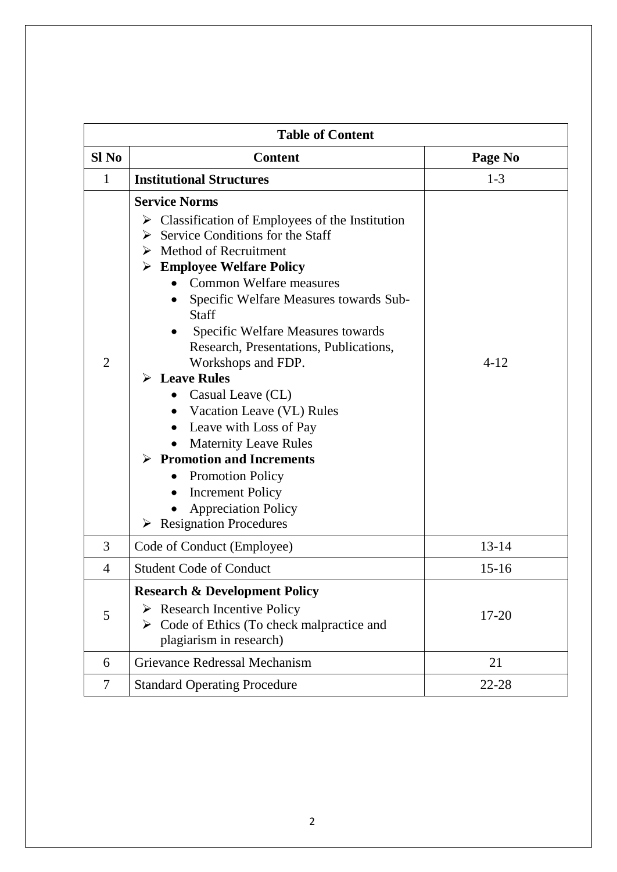| <b>Table of Content</b> |                                                                                                                                                                                                                                                                                                                                                                                                                                                                                                                                                                                                                                                                                                                           |           |  |
|-------------------------|---------------------------------------------------------------------------------------------------------------------------------------------------------------------------------------------------------------------------------------------------------------------------------------------------------------------------------------------------------------------------------------------------------------------------------------------------------------------------------------------------------------------------------------------------------------------------------------------------------------------------------------------------------------------------------------------------------------------------|-----------|--|
| Sl <sub>No</sub>        | <b>Content</b>                                                                                                                                                                                                                                                                                                                                                                                                                                                                                                                                                                                                                                                                                                            | Page No   |  |
| 1                       | <b>Institutional Structures</b>                                                                                                                                                                                                                                                                                                                                                                                                                                                                                                                                                                                                                                                                                           | $1 - 3$   |  |
| $\overline{2}$          | <b>Service Norms</b><br>$\triangleright$ Classification of Employees of the Institution<br>Service Conditions for the Staff<br>➤<br>Method of Recruitment<br><b>Employee Welfare Policy</b><br>➤<br><b>Common Welfare measures</b><br>Specific Welfare Measures towards Sub-<br><b>Staff</b><br>Specific Welfare Measures towards<br>Research, Presentations, Publications,<br>Workshops and FDP.<br>$\triangleright$ Leave Rules<br>Casual Leave (CL)<br>Vacation Leave (VL) Rules<br>Leave with Loss of Pay<br><b>Maternity Leave Rules</b><br>$\triangleright$ Promotion and Increments<br><b>Promotion Policy</b><br><b>Increment Policy</b><br><b>Appreciation Policy</b><br>$\triangleright$ Resignation Procedures | $4 - 12$  |  |
| 3                       | Code of Conduct (Employee)                                                                                                                                                                                                                                                                                                                                                                                                                                                                                                                                                                                                                                                                                                | $13 - 14$ |  |
| 4                       | <b>Student Code of Conduct</b>                                                                                                                                                                                                                                                                                                                                                                                                                                                                                                                                                                                                                                                                                            | $15 - 16$ |  |
| 5                       | <b>Research &amp; Development Policy</b><br>$\triangleright$ Research Incentive Policy<br>$\triangleright$ Code of Ethics (To check malpractice and<br>plagiarism in research)                                                                                                                                                                                                                                                                                                                                                                                                                                                                                                                                            | $17 - 20$ |  |
| 6                       | Grievance Redressal Mechanism                                                                                                                                                                                                                                                                                                                                                                                                                                                                                                                                                                                                                                                                                             | 21        |  |
| 7                       | <b>Standard Operating Procedure</b>                                                                                                                                                                                                                                                                                                                                                                                                                                                                                                                                                                                                                                                                                       | 22-28     |  |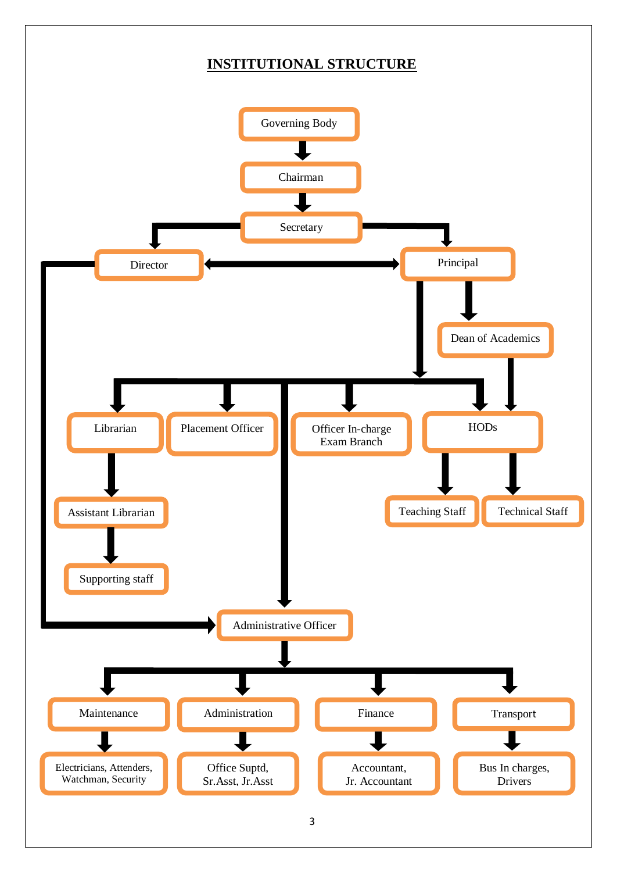# **INSTITUTIONAL STRUCTURE**

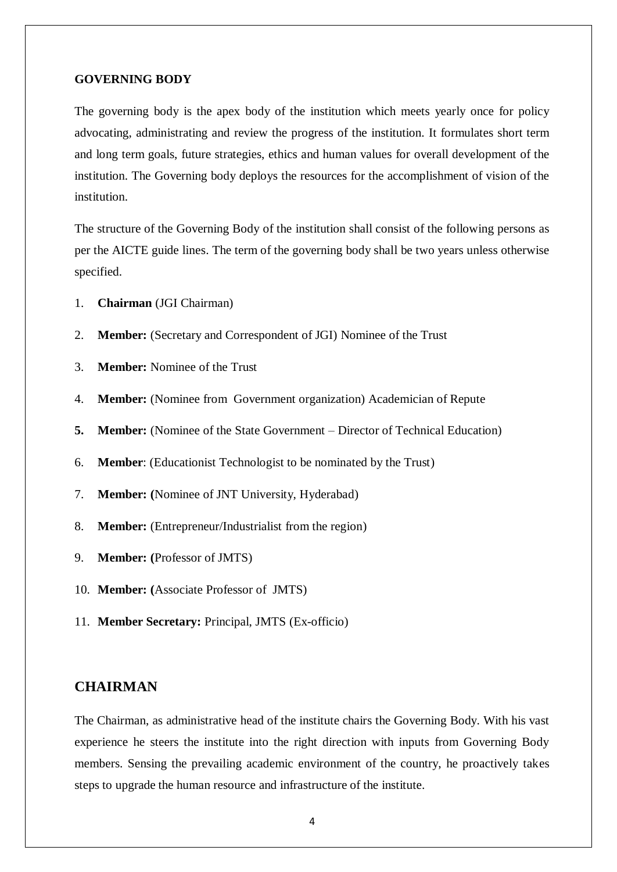#### **GOVERNING BODY**

The governing body is the apex body of the institution which meets yearly once for policy advocating, administrating and review the progress of the institution. It formulates short term and long term goals, future strategies, ethics and human values for overall development of the institution. The Governing body deploys the resources for the accomplishment of vision of the institution.

The structure of the Governing Body of the institution shall consist of the following persons as per the AICTE guide lines. The term of the governing body shall be two years unless otherwise specified.

- 1. **Chairman** (JGI Chairman)
- 2. **Member:** (Secretary and Correspondent of JGI) Nominee of the Trust
- 3. **Member:** Nominee of the Trust
- 4. **Member:** (Nominee from Government organization) Academician of Repute
- **5. Member:** (Nominee of the State Government Director of Technical Education)
- 6. **Member**: (Educationist Technologist to be nominated by the Trust)
- 7. **Member: (**Nominee of JNT University, Hyderabad)
- 8. **Member:** (Entrepreneur/Industrialist from the region)
- 9. **Member: (**Professor of JMTS)
- 10. **Member: (**Associate Professor of JMTS)
- 11. **Member Secretary:** Principal, JMTS (Ex-officio)

# **CHAIRMAN**

The Chairman, as administrative head of the institute chairs the Governing Body. With his vast experience he steers the institute into the right direction with inputs from Governing Body members. Sensing the prevailing academic environment of the country, he proactively takes steps to upgrade the human resource and infrastructure of the institute.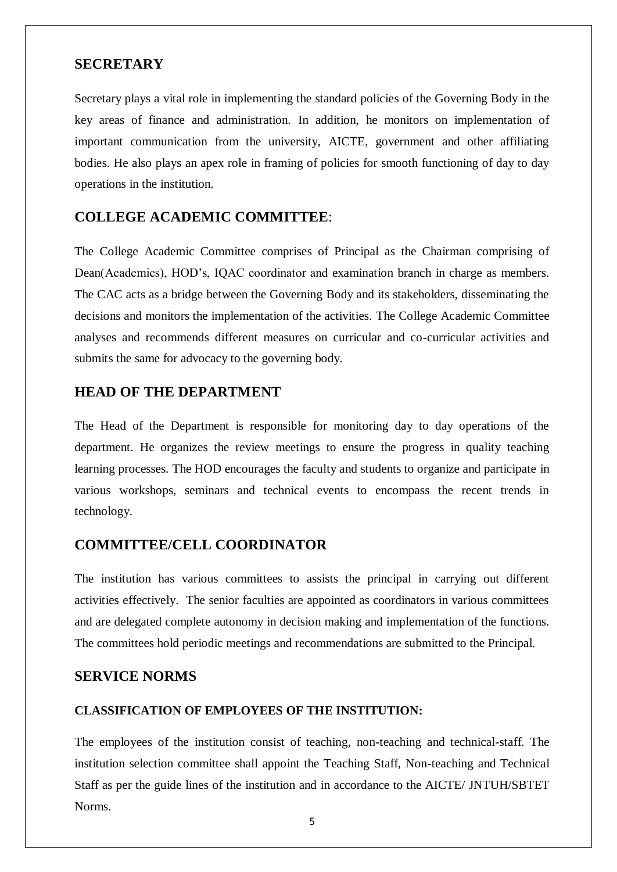# **SECRETARY**

Secretary plays a vital role in implementing the standard policies of the Governing Body in the key areas of finance and administration. In addition, he monitors on implementation of important communication from the university, AICTE, government and other affiliating bodies. He also plays an apex role in framing of policies for smooth functioning of day to day operations in the institution.

# **COLLEGE ACADEMIC COMMITTEE**:

The College Academic Committee comprises of Principal as the Chairman comprising of Dean(Academics), HOD's, IQAC coordinator and examination branch in charge as members. The CAC acts as a bridge between the Governing Body and its stakeholders, disseminating the decisions and monitors the implementation of the activities. The College Academic Committee analyses and recommends different measures on curricular and co-curricular activities and submits the same for advocacy to the governing body.

# **HEAD OF THE DEPARTMENT**

The Head of the Department is responsible for monitoring day to day operations of the department. He organizes the review meetings to ensure the progress in quality teaching learning processes. The HOD encourages the faculty and students to organize and participate in various workshops, seminars and technical events to encompass the recent trends in technology.

# **COMMITTEE/CELL COORDINATOR**

The institution has various committees to assists the principal in carrying out different activities effectively. The senior faculties are appointed as coordinators in various committees and are delegated complete autonomy in decision making and implementation of the functions. The committees hold periodic meetings and recommendations are submitted to the Principal.

# **SERVICE NORMS**

#### **CLASSIFICATION OF EMPLOYEES OF THE INSTITUTION:**

The employees of the institution consist of teaching, non-teaching and technical-staff. The institution selection committee shall appoint the Teaching Staff, Non-teaching and Technical Staff as per the guide lines of the institution and in accordance to the AICTE/ JNTUH/SBTET Norms.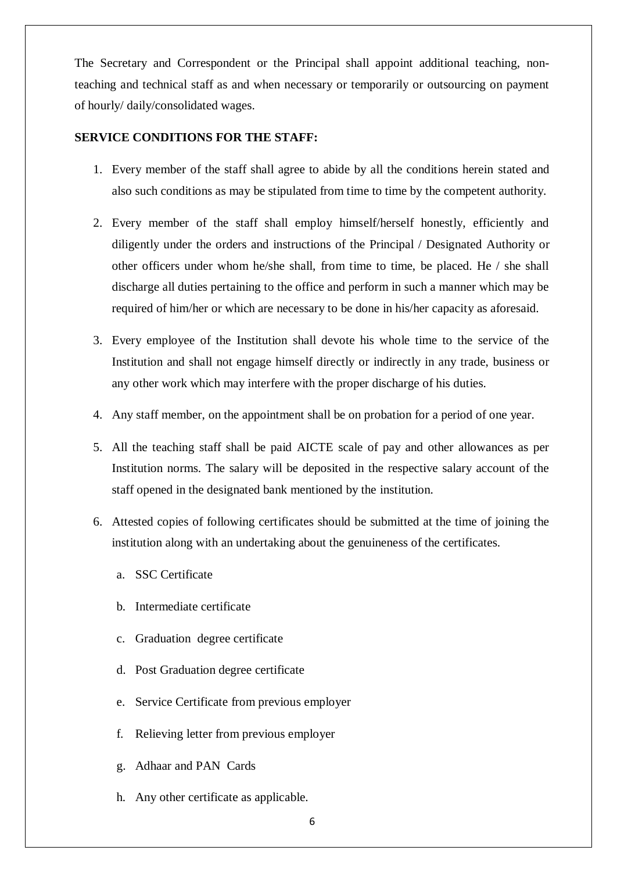The Secretary and Correspondent or the Principal shall appoint additional teaching, nonteaching and technical staff as and when necessary or temporarily or outsourcing on payment of hourly/ daily/consolidated wages.

#### **SERVICE CONDITIONS FOR THE STAFF:**

- 1. Every member of the staff shall agree to abide by all the conditions herein stated and also such conditions as may be stipulated from time to time by the competent authority.
- 2. Every member of the staff shall employ himself/herself honestly, efficiently and diligently under the orders and instructions of the Principal / Designated Authority or other officers under whom he/she shall, from time to time, be placed. He / she shall discharge all duties pertaining to the office and perform in such a manner which may be required of him/her or which are necessary to be done in his/her capacity as aforesaid.
- 3. Every employee of the Institution shall devote his whole time to the service of the Institution and shall not engage himself directly or indirectly in any trade, business or any other work which may interfere with the proper discharge of his duties.
- 4. Any staff member, on the appointment shall be on probation for a period of one year.
- 5. All the teaching staff shall be paid AICTE scale of pay and other allowances as per Institution norms. The salary will be deposited in the respective salary account of the staff opened in the designated bank mentioned by the institution.
- 6. Attested copies of following certificates should be submitted at the time of joining the institution along with an undertaking about the genuineness of the certificates.
	- a. SSC Certificate
	- b. Intermediate certificate
	- c. Graduation degree certificate
	- d. Post Graduation degree certificate
	- e. Service Certificate from previous employer
	- f. Relieving letter from previous employer
	- g. Adhaar and PAN Cards
	- h. Any other certificate as applicable.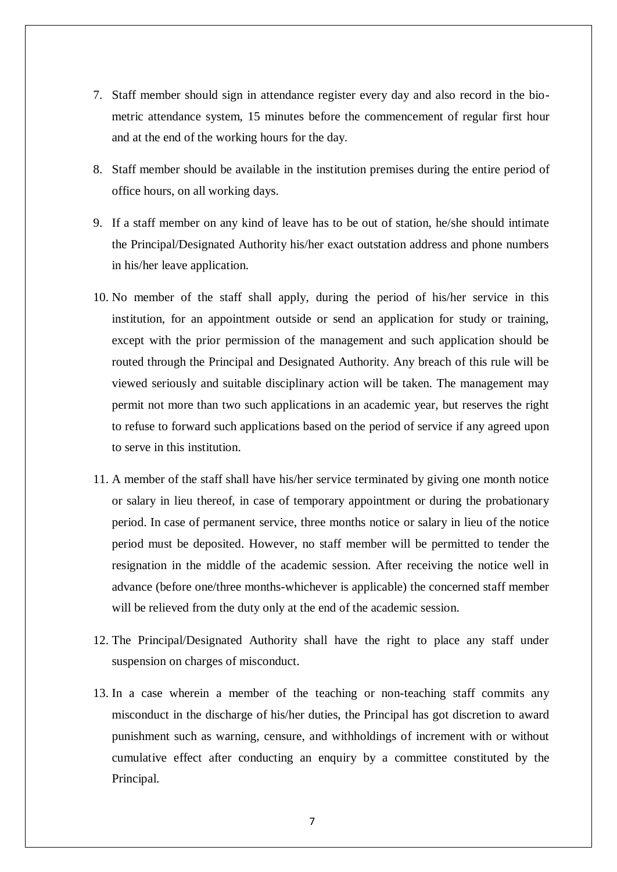- 7. Staff member should sign in attendance register every day and also record in the biometric attendance system, 15 minutes before the commencement of regular first hour and at the end of the working hours for the day.
- 8. Staff member should be available in the institution premises during the entire period of office hours, on all working days.
- 9. If a staff member on any kind of leave has to be out of station, he/she should intimate the Principal/Designated Authority his/her exact outstation address and phone numbers in his/her leave application.
- 10. No member of the staff shall apply, during the period of his/her service in this institution, for an appointment outside or send an application for study or training, except with the prior permission of the management and such application should be routed through the Principal and Designated Authority. Any breach of this rule will be viewed seriously and suitable disciplinary action will be taken. The management may permit not more than two such applications in an academic year, but reserves the right to refuse to forward such applications based on the period of service if any agreed upon to serve in this institution.
- 11. A member of the staff shall have his/her service terminated by giving one month notice or salary in lieu thereof, in case of temporary appointment or during the probationary period. In case of permanent service, three months notice or salary in lieu of the notice period must be deposited. However, no staff member will be permitted to tender the resignation in the middle of the academic session. After receiving the notice well in advance (before one/three months-whichever is applicable) the concerned staff member will be relieved from the duty only at the end of the academic session.
- 12. The Principal/Designated Authority shall have the right to place any staff under suspension on charges of misconduct.
- 13. In a case wherein a member of the teaching or non-teaching staff commits any misconduct in the discharge of his/her duties, the Principal has got discretion to award punishment such as warning, censure, and withholdings of increment with or without cumulative effect after conducting an enquiry by a committee constituted by the Principal.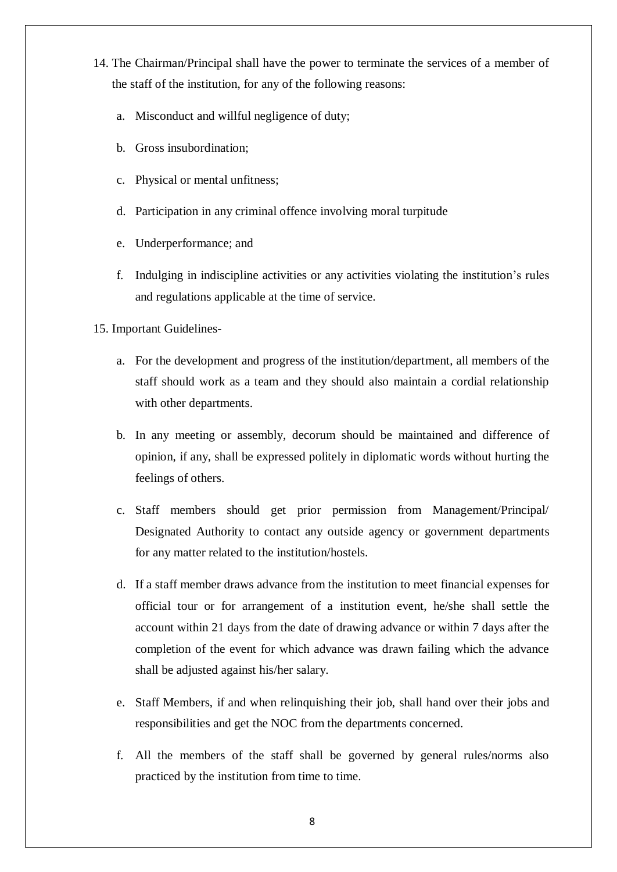- 14. The Chairman/Principal shall have the power to terminate the services of a member of the staff of the institution, for any of the following reasons:
	- a. Misconduct and willful negligence of duty;
	- b. Gross insubordination;
	- c. Physical or mental unfitness;
	- d. Participation in any criminal offence involving moral turpitude
	- e. Underperformance; and
	- f. Indulging in indiscipline activities or any activities violating the institution's rules and regulations applicable at the time of service.
- 15. Important Guidelines
	- a. For the development and progress of the institution/department, all members of the staff should work as a team and they should also maintain a cordial relationship with other departments.
	- b. In any meeting or assembly, decorum should be maintained and difference of opinion, if any, shall be expressed politely in diplomatic words without hurting the feelings of others.
	- c. Staff members should get prior permission from Management/Principal/ Designated Authority to contact any outside agency or government departments for any matter related to the institution/hostels.
	- d. If a staff member draws advance from the institution to meet financial expenses for official tour or for arrangement of a institution event, he/she shall settle the account within 21 days from the date of drawing advance or within 7 days after the completion of the event for which advance was drawn failing which the advance shall be adjusted against his/her salary.
	- e. Staff Members, if and when relinquishing their job, shall hand over their jobs and responsibilities and get the NOC from the departments concerned.
	- f. All the members of the staff shall be governed by general rules/norms also practiced by the institution from time to time.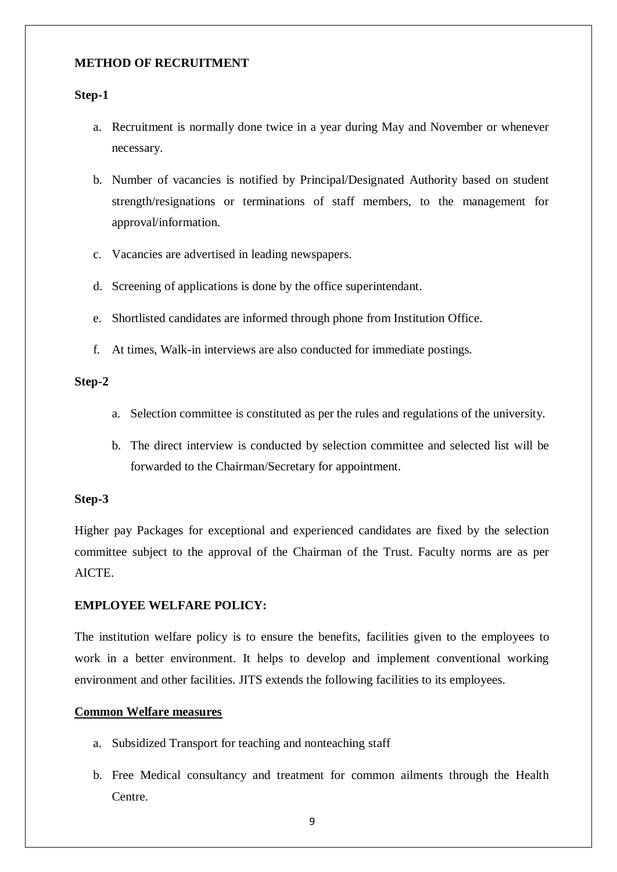#### **METHOD OF RECRUITMENT**

#### **Step-1**

- a. Recruitment is normally done twice in a year during May and November or whenever necessary.
- b. Number of vacancies is notified by Principal/Designated Authority based on student strength/resignations or terminations of staff members, to the management for approval/information.
- c. Vacancies are advertised in leading newspapers.
- d. Screening of applications is done by the office superintendant.
- e. Shortlisted candidates are informed through phone from Institution Office.
- f. At times, Walk-in interviews are also conducted for immediate postings.

#### **Step-2**

- a. Selection committee is constituted as per the rules and regulations of the university.
- b. The direct interview is conducted by selection committee and selected list will be forwarded to the Chairman/Secretary for appointment.

#### **Step-3**

Higher pay Packages for exceptional and experienced candidates are fixed by the selection committee subject to the approval of the Chairman of the Trust. Faculty norms are as per AICTE.

#### **EMPLOYEE WELFARE POLICY:**

The institution welfare policy is to ensure the benefits, facilities given to the employees to work in a better environment. It helps to develop and implement conventional working environment and other facilities. JITS extends the following facilities to its employees.

#### **Common Welfare measures**

- a. Subsidized Transport for teaching and nonteaching staff
- b. Free Medical consultancy and treatment for common ailments through the Health Centre.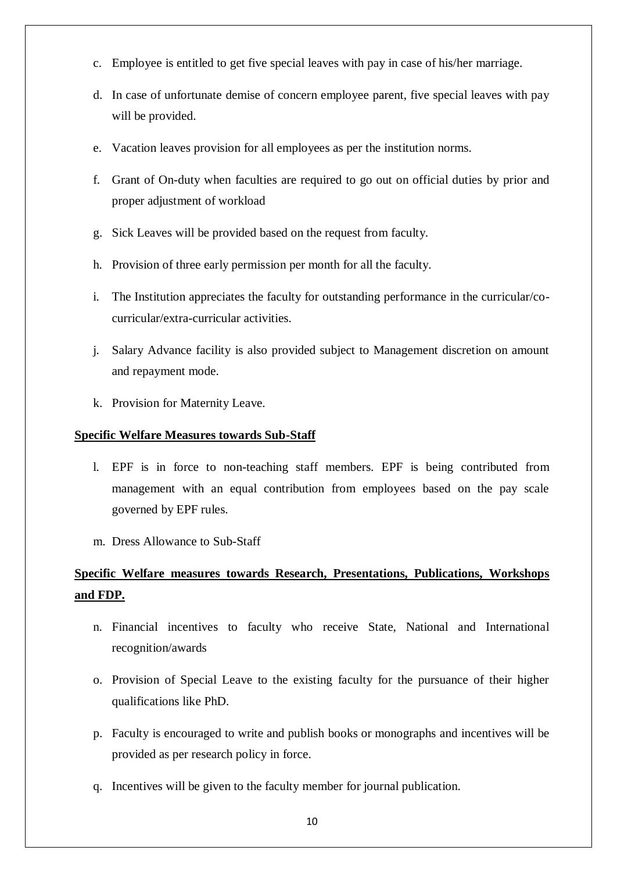- c. Employee is entitled to get five special leaves with pay in case of his/her marriage.
- d. In case of unfortunate demise of concern employee parent, five special leaves with pay will be provided.
- e. Vacation leaves provision for all employees as per the institution norms.
- f. Grant of On-duty when faculties are required to go out on official duties by prior and proper adjustment of workload
- g. Sick Leaves will be provided based on the request from faculty.
- h. Provision of three early permission per month for all the faculty.
- i. The Institution appreciates the faculty for outstanding performance in the curricular/cocurricular/extra-curricular activities.
- j. Salary Advance facility is also provided subject to Management discretion on amount and repayment mode.
- k. Provision for Maternity Leave.

# **Specific Welfare Measures towards Sub-Staff**

- l. EPF is in force to non-teaching staff members. EPF is being contributed from management with an equal contribution from employees based on the pay scale governed by EPF rules.
- m. Dress Allowance to Sub-Staff

# **Specific Welfare measures towards Research, Presentations, Publications, Workshops and FDP.**

- n. Financial incentives to faculty who receive State, National and International recognition/awards
- o. Provision of Special Leave to the existing faculty for the pursuance of their higher qualifications like PhD.
- p. Faculty is encouraged to write and publish books or monographs and incentives will be provided as per research policy in force.
- q. Incentives will be given to the faculty member for journal publication.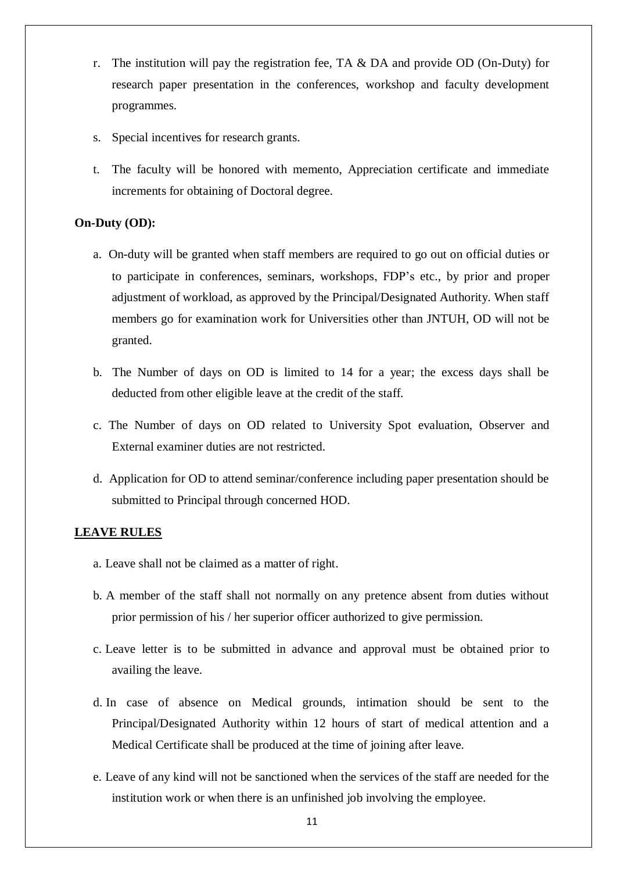- r. The institution will pay the registration fee, TA  $\&$  DA and provide OD (On-Duty) for research paper presentation in the conferences, workshop and faculty development programmes.
- s. Special incentives for research grants.
- t. The faculty will be honored with memento, Appreciation certificate and immediate increments for obtaining of Doctoral degree.

#### **On-Duty (OD):**

- a. On-duty will be granted when staff members are required to go out on official duties or to participate in conferences, seminars, workshops, FDP's etc., by prior and proper adjustment of workload, as approved by the Principal/Designated Authority. When staff members go for examination work for Universities other than JNTUH, OD will not be granted.
- b. The Number of days on OD is limited to 14 for a year; the excess days shall be deducted from other eligible leave at the credit of the staff.
- c. The Number of days on OD related to University Spot evaluation, Observer and External examiner duties are not restricted.
- d. Application for OD to attend seminar/conference including paper presentation should be submitted to Principal through concerned HOD.

# **LEAVE RULES**

- a. Leave shall not be claimed as a matter of right.
- b. A member of the staff shall not normally on any pretence absent from duties without prior permission of his / her superior officer authorized to give permission.
- c. Leave letter is to be submitted in advance and approval must be obtained prior to availing the leave.
- d. In case of absence on Medical grounds, intimation should be sent to the Principal/Designated Authority within 12 hours of start of medical attention and a Medical Certificate shall be produced at the time of joining after leave.
- e. Leave of any kind will not be sanctioned when the services of the staff are needed for the institution work or when there is an unfinished job involving the employee.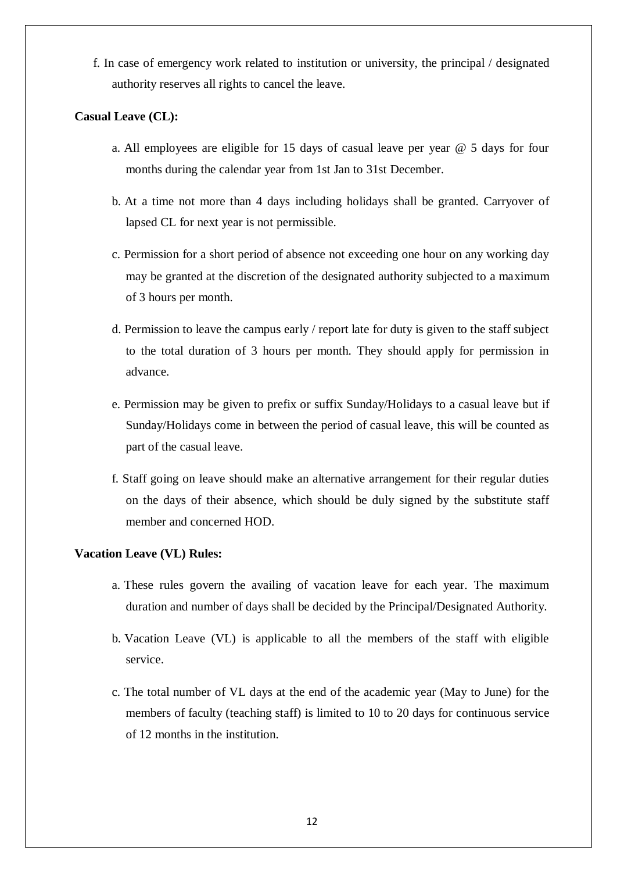f. In case of emergency work related to institution or university, the principal / designated authority reserves all rights to cancel the leave.

### **Casual Leave (CL):**

- a. All employees are eligible for 15 days of casual leave per year @ 5 days for four months during the calendar year from 1st Jan to 31st December.
- b. At a time not more than 4 days including holidays shall be granted. Carryover of lapsed CL for next year is not permissible.
- c. Permission for a short period of absence not exceeding one hour on any working day may be granted at the discretion of the designated authority subjected to a maximum of 3 hours per month.
- d. Permission to leave the campus early / report late for duty is given to the staff subject to the total duration of 3 hours per month. They should apply for permission in advance.
- e. Permission may be given to prefix or suffix Sunday/Holidays to a casual leave but if Sunday/Holidays come in between the period of casual leave, this will be counted as part of the casual leave.
- f. Staff going on leave should make an alternative arrangement for their regular duties on the days of their absence, which should be duly signed by the substitute staff member and concerned HOD.

#### **Vacation Leave (VL) Rules:**

- a. These rules govern the availing of vacation leave for each year. The maximum duration and number of days shall be decided by the Principal/Designated Authority.
- b. Vacation Leave (VL) is applicable to all the members of the staff with eligible service.
- c. The total number of VL days at the end of the academic year (May to June) for the members of faculty (teaching staff) is limited to 10 to 20 days for continuous service of 12 months in the institution.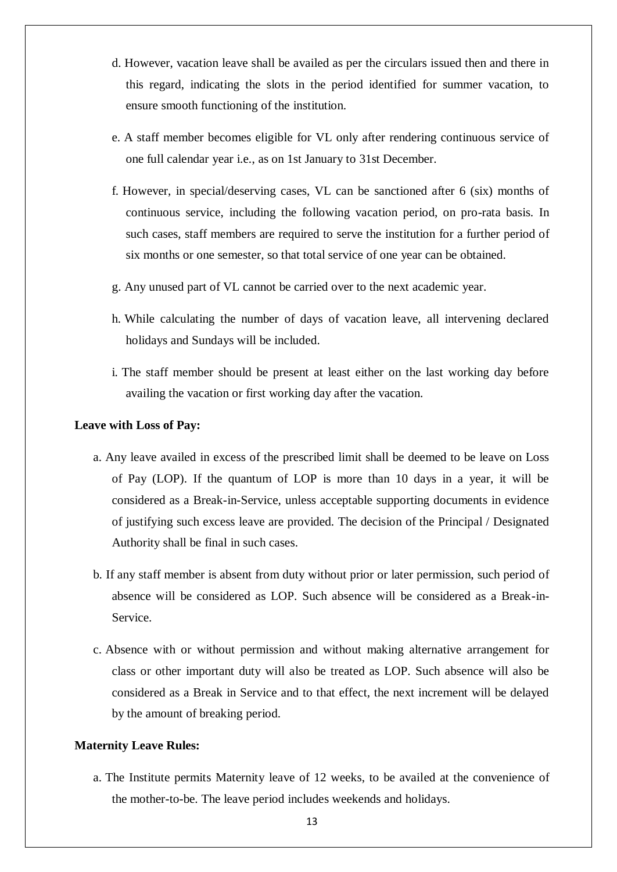- d. However, vacation leave shall be availed as per the circulars issued then and there in this regard, indicating the slots in the period identified for summer vacation, to ensure smooth functioning of the institution.
- e. A staff member becomes eligible for VL only after rendering continuous service of one full calendar year i.e., as on 1st January to 31st December.
- f. However, in special/deserving cases, VL can be sanctioned after 6 (six) months of continuous service, including the following vacation period, on pro-rata basis. In such cases, staff members are required to serve the institution for a further period of six months or one semester, so that total service of one year can be obtained.
- g. Any unused part of VL cannot be carried over to the next academic year.
- h. While calculating the number of days of vacation leave, all intervening declared holidays and Sundays will be included.
- i. The staff member should be present at least either on the last working day before availing the vacation or first working day after the vacation.

#### **Leave with Loss of Pay:**

- a. Any leave availed in excess of the prescribed limit shall be deemed to be leave on Loss of Pay (LOP). If the quantum of LOP is more than 10 days in a year, it will be considered as a Break-in-Service, unless acceptable supporting documents in evidence of justifying such excess leave are provided. The decision of the Principal / Designated Authority shall be final in such cases.
- b. If any staff member is absent from duty without prior or later permission, such period of absence will be considered as LOP. Such absence will be considered as a Break-in-Service.
- c. Absence with or without permission and without making alternative arrangement for class or other important duty will also be treated as LOP. Such absence will also be considered as a Break in Service and to that effect, the next increment will be delayed by the amount of breaking period.

#### **Maternity Leave Rules:**

a. The Institute permits Maternity leave of 12 weeks, to be availed at the convenience of the mother-to-be. The leave period includes weekends and holidays.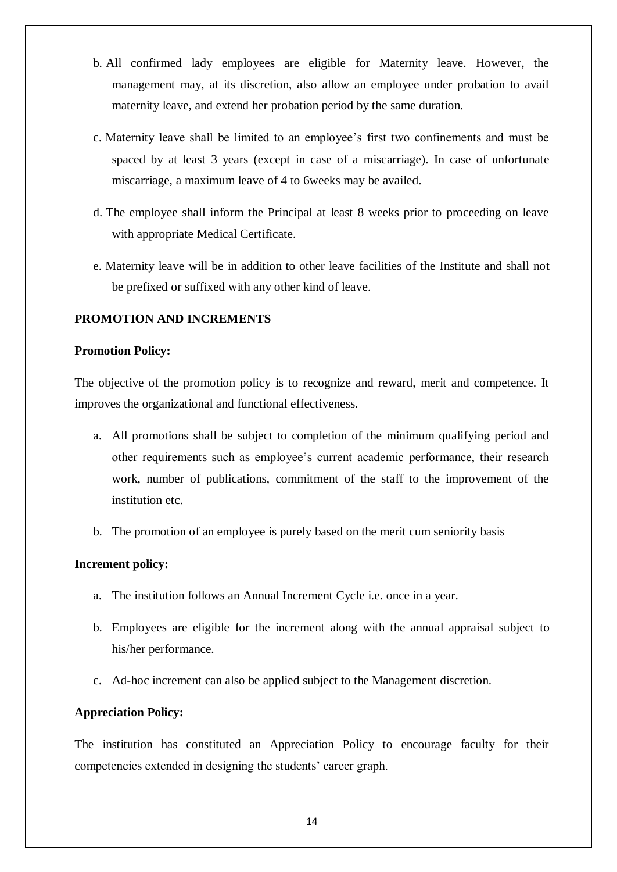- b. All confirmed lady employees are eligible for Maternity leave. However, the management may, at its discretion, also allow an employee under probation to avail maternity leave, and extend her probation period by the same duration.
- c. Maternity leave shall be limited to an employee's first two confinements and must be spaced by at least 3 years (except in case of a miscarriage). In case of unfortunate miscarriage, a maximum leave of 4 to 6weeks may be availed.
- d. The employee shall inform the Principal at least 8 weeks prior to proceeding on leave with appropriate Medical Certificate.
- e. Maternity leave will be in addition to other leave facilities of the Institute and shall not be prefixed or suffixed with any other kind of leave.

# **PROMOTION AND INCREMENTS**

#### **Promotion Policy:**

The objective of the promotion policy is to recognize and reward, merit and competence. It improves the organizational and functional effectiveness.

- a. All promotions shall be subject to completion of the minimum qualifying period and other requirements such as employee's current academic performance, their research work, number of publications, commitment of the staff to the improvement of the institution etc.
- b. The promotion of an employee is purely based on the merit cum seniority basis

#### **Increment policy:**

- a. The institution follows an Annual Increment Cycle i.e. once in a year.
- b. Employees are eligible for the increment along with the annual appraisal subject to his/her performance.
- c. Ad-hoc increment can also be applied subject to the Management discretion.

#### **Appreciation Policy:**

The institution has constituted an Appreciation Policy to encourage faculty for their competencies extended in designing the students' career graph.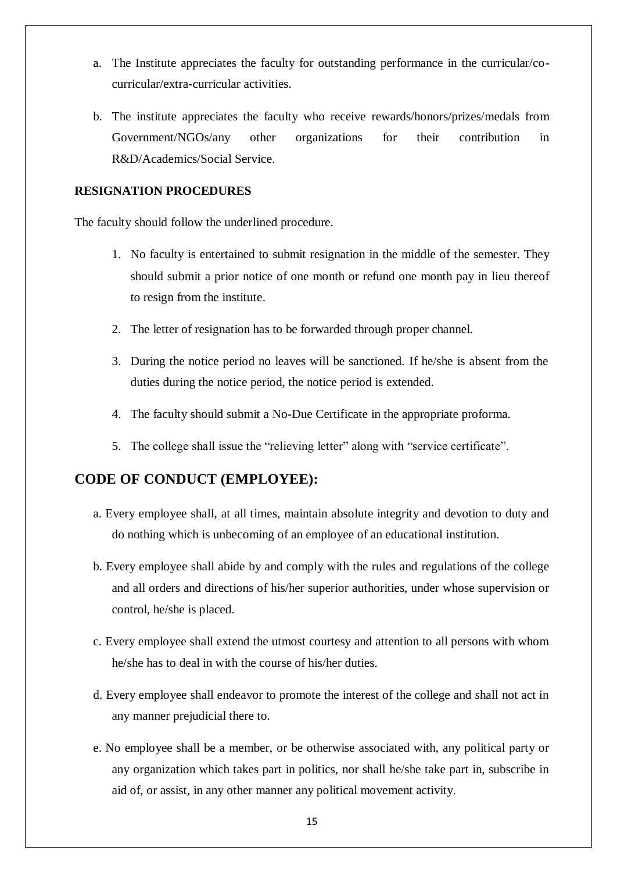- a. The Institute appreciates the faculty for outstanding performance in the curricular/cocurricular/extra-curricular activities.
- b. The institute appreciates the faculty who receive rewards/honors/prizes/medals from Government/NGOs/any other organizations for their contribution in R&D/Academics/Social Service.

# **RESIGNATION PROCEDURES**

The faculty should follow the underlined procedure.

- 1. No faculty is entertained to submit resignation in the middle of the semester. They should submit a prior notice of one month or refund one month pay in lieu thereof to resign from the institute.
- 2. The letter of resignation has to be forwarded through proper channel.
- 3. During the notice period no leaves will be sanctioned. If he/she is absent from the duties during the notice period, the notice period is extended.
- 4. The faculty should submit a No-Due Certificate in the appropriate proforma.
- 5. The college shall issue the "relieving letter" along with "service certificate".

# **CODE OF CONDUCT (EMPLOYEE):**

- a. Every employee shall, at all times, maintain absolute integrity and devotion to duty and do nothing which is unbecoming of an employee of an educational institution.
- b. Every employee shall abide by and comply with the rules and regulations of the college and all orders and directions of his/her superior authorities, under whose supervision or control, he/she is placed.
- c. Every employee shall extend the utmost courtesy and attention to all persons with whom he/she has to deal in with the course of his/her duties.
- d. Every employee shall endeavor to promote the interest of the college and shall not act in any manner prejudicial there to.
- e. No employee shall be a member, or be otherwise associated with, any political party or any organization which takes part in politics, nor shall he/she take part in, subscribe in aid of, or assist, in any other manner any political movement activity.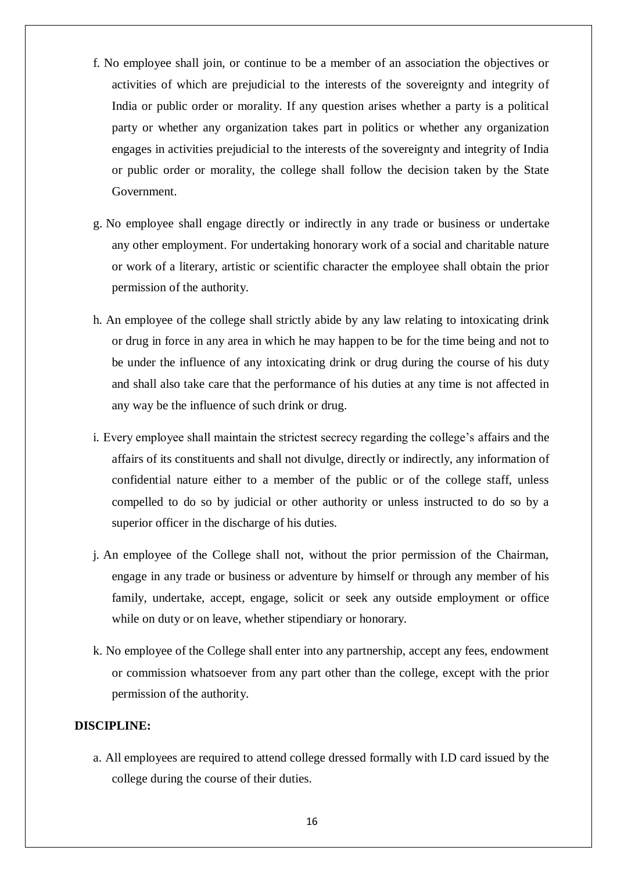- f. No employee shall join, or continue to be a member of an association the objectives or activities of which are prejudicial to the interests of the sovereignty and integrity of India or public order or morality. If any question arises whether a party is a political party or whether any organization takes part in politics or whether any organization engages in activities prejudicial to the interests of the sovereignty and integrity of India or public order or morality, the college shall follow the decision taken by the State Government.
- g. No employee shall engage directly or indirectly in any trade or business or undertake any other employment. For undertaking honorary work of a social and charitable nature or work of a literary, artistic or scientific character the employee shall obtain the prior permission of the authority.
- h. An employee of the college shall strictly abide by any law relating to intoxicating drink or drug in force in any area in which he may happen to be for the time being and not to be under the influence of any intoxicating drink or drug during the course of his duty and shall also take care that the performance of his duties at any time is not affected in any way be the influence of such drink or drug.
- i. Every employee shall maintain the strictest secrecy regarding the college's affairs and the affairs of its constituents and shall not divulge, directly or indirectly, any information of confidential nature either to a member of the public or of the college staff, unless compelled to do so by judicial or other authority or unless instructed to do so by a superior officer in the discharge of his duties.
- j. An employee of the College shall not, without the prior permission of the Chairman, engage in any trade or business or adventure by himself or through any member of his family, undertake, accept, engage, solicit or seek any outside employment or office while on duty or on leave, whether stipendiary or honorary.
- k. No employee of the College shall enter into any partnership, accept any fees, endowment or commission whatsoever from any part other than the college, except with the prior permission of the authority.

#### **DISCIPLINE:**

a. All employees are required to attend college dressed formally with I.D card issued by the college during the course of their duties.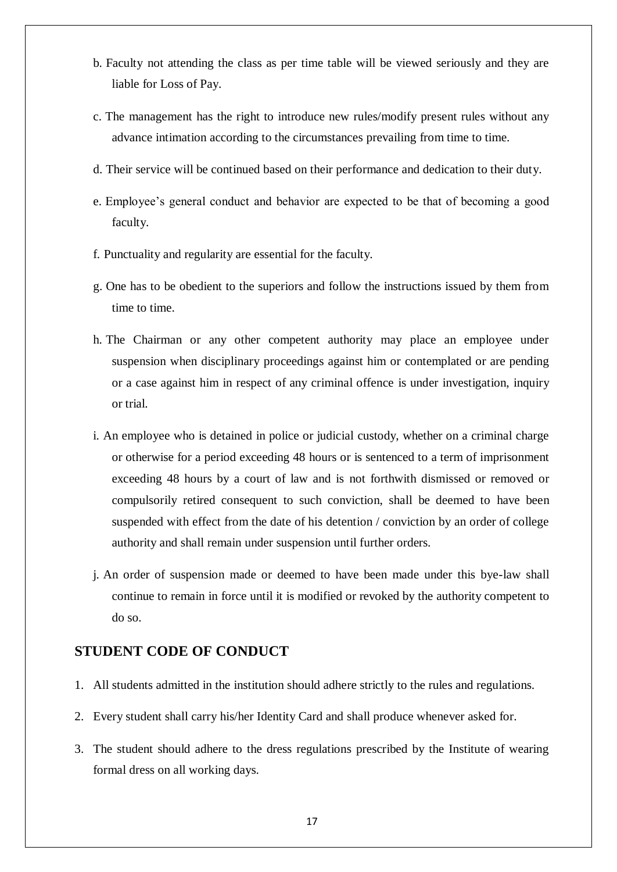- b. Faculty not attending the class as per time table will be viewed seriously and they are liable for Loss of Pay.
- c. The management has the right to introduce new rules/modify present rules without any advance intimation according to the circumstances prevailing from time to time.
- d. Their service will be continued based on their performance and dedication to their duty.
- e. Employee's general conduct and behavior are expected to be that of becoming a good faculty.
- f. Punctuality and regularity are essential for the faculty.
- g. One has to be obedient to the superiors and follow the instructions issued by them from time to time.
- h. The Chairman or any other competent authority may place an employee under suspension when disciplinary proceedings against him or contemplated or are pending or a case against him in respect of any criminal offence is under investigation, inquiry or trial.
- i. An employee who is detained in police or judicial custody, whether on a criminal charge or otherwise for a period exceeding 48 hours or is sentenced to a term of imprisonment exceeding 48 hours by a court of law and is not forthwith dismissed or removed or compulsorily retired consequent to such conviction, shall be deemed to have been suspended with effect from the date of his detention / conviction by an order of college authority and shall remain under suspension until further orders.
- j. An order of suspension made or deemed to have been made under this bye-law shall continue to remain in force until it is modified or revoked by the authority competent to do so.

# **STUDENT CODE OF CONDUCT**

- 1. All students admitted in the institution should adhere strictly to the rules and regulations.
- 2. Every student shall carry his/her Identity Card and shall produce whenever asked for.
- 3. The student should adhere to the dress regulations prescribed by the Institute of wearing formal dress on all working days.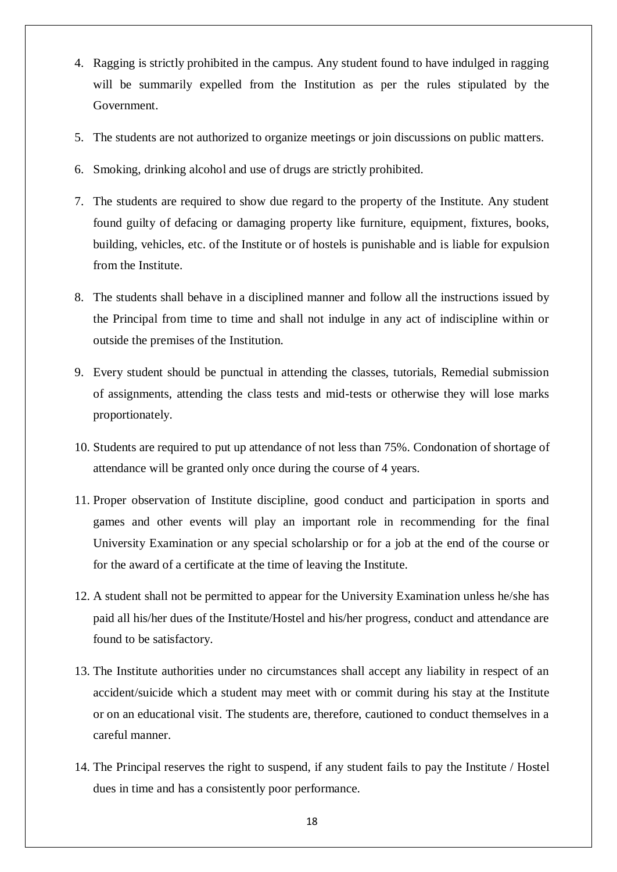- 4. Ragging is strictly prohibited in the campus. Any student found to have indulged in ragging will be summarily expelled from the Institution as per the rules stipulated by the Government.
- 5. The students are not authorized to organize meetings or join discussions on public matters.
- 6. Smoking, drinking alcohol and use of drugs are strictly prohibited.
- 7. The students are required to show due regard to the property of the Institute. Any student found guilty of defacing or damaging property like furniture, equipment, fixtures, books, building, vehicles, etc. of the Institute or of hostels is punishable and is liable for expulsion from the Institute.
- 8. The students shall behave in a disciplined manner and follow all the instructions issued by the Principal from time to time and shall not indulge in any act of indiscipline within or outside the premises of the Institution.
- 9. Every student should be punctual in attending the classes, tutorials, Remedial submission of assignments, attending the class tests and mid-tests or otherwise they will lose marks proportionately.
- 10. Students are required to put up attendance of not less than 75%. Condonation of shortage of attendance will be granted only once during the course of 4 years.
- 11. Proper observation of Institute discipline, good conduct and participation in sports and games and other events will play an important role in recommending for the final University Examination or any special scholarship or for a job at the end of the course or for the award of a certificate at the time of leaving the Institute.
- 12. A student shall not be permitted to appear for the University Examination unless he/she has paid all his/her dues of the Institute/Hostel and his/her progress, conduct and attendance are found to be satisfactory.
- 13. The Institute authorities under no circumstances shall accept any liability in respect of an accident/suicide which a student may meet with or commit during his stay at the Institute or on an educational visit. The students are, therefore, cautioned to conduct themselves in a careful manner.
- 14. The Principal reserves the right to suspend, if any student fails to pay the Institute / Hostel dues in time and has a consistently poor performance.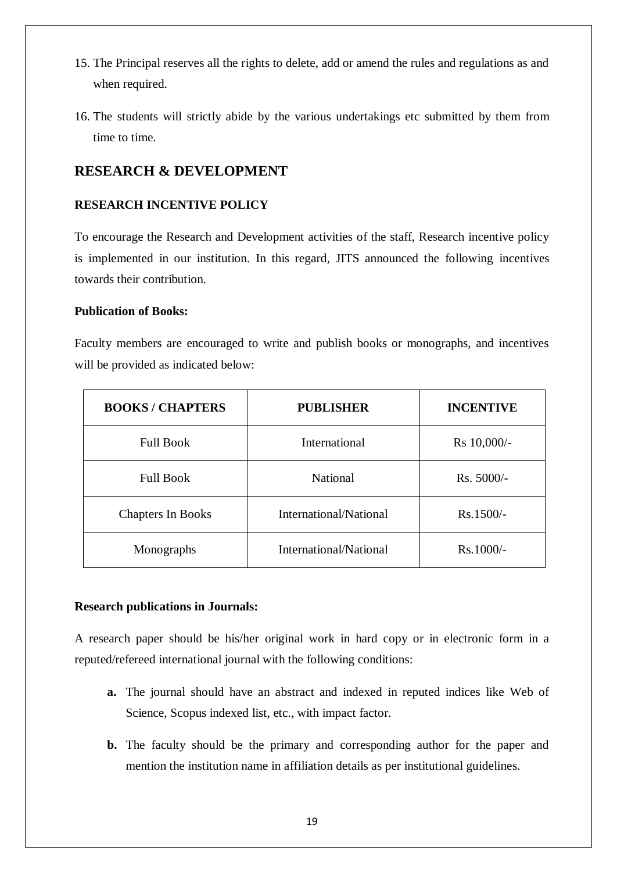- 15. The Principal reserves all the rights to delete, add or amend the rules and regulations as and when required.
- 16. The students will strictly abide by the various undertakings etc submitted by them from time to time.

# **RESEARCH & DEVELOPMENT**

# **RESEARCH INCENTIVE POLICY**

To encourage the Research and Development activities of the staff, Research incentive policy is implemented in our institution. In this regard, JITS announced the following incentives towards their contribution.

# **Publication of Books:**

Faculty members are encouraged to write and publish books or monographs, and incentives will be provided as indicated below:

| <b>BOOKS/CHAPTERS</b>    | <b>PUBLISHER</b>       | <b>INCENTIVE</b> |
|--------------------------|------------------------|------------------|
| <b>Full Book</b>         | International          | Rs 10,000/-      |
| <b>Full Book</b>         | <b>National</b>        | $Rs. 5000/-$     |
| <b>Chapters In Books</b> | International/National | $Rs.1500/-$      |
| Monographs               | International/National | $Rs.1000/-$      |

#### **Research publications in Journals:**

A research paper should be his/her original work in hard copy or in electronic form in a reputed/refereed international journal with the following conditions:

- **a.** The journal should have an abstract and indexed in reputed indices like Web of Science, Scopus indexed list, etc., with impact factor.
- **b.** The faculty should be the primary and corresponding author for the paper and mention the institution name in affiliation details as per institutional guidelines.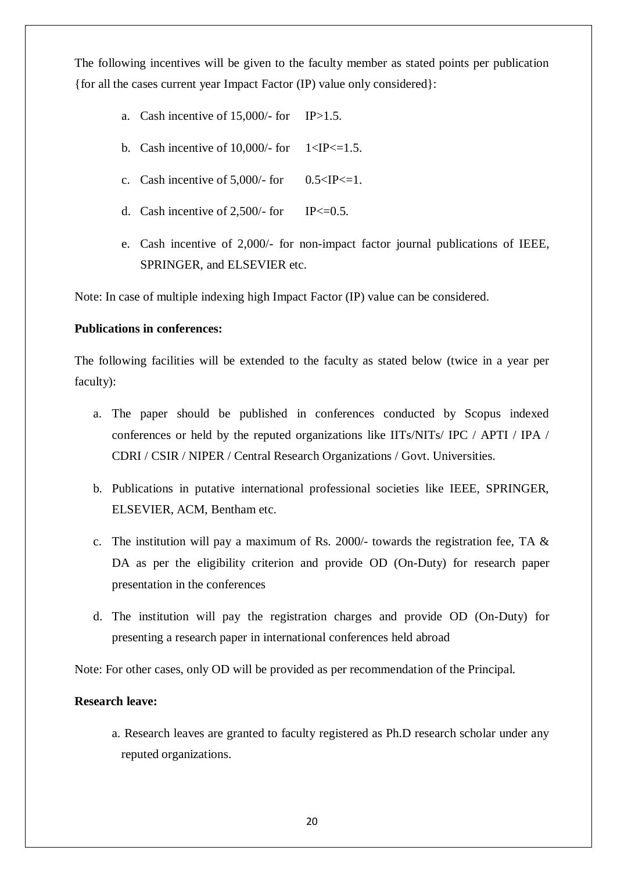The following incentives will be given to the faculty member as stated points per publication {for all the cases current year Impact Factor (IP) value only considered}:

- a. Cash incentive of  $15,000/$  for IP>1.5.
- b. Cash incentive of 10,000/- for  $1 < IP \le 1.5$ .
- c. Cash incentive of  $5,000/-$  for 0.5  $\leq$  IP $\leq$ =1.
- d. Cash incentive of 2,500/- for IP $\leq$ =0.5.
- e. Cash incentive of 2,000/- for non-impact factor journal publications of IEEE, SPRINGER, and ELSEVIER etc.

Note: In case of multiple indexing high Impact Factor (IP) value can be considered.

#### **Publications in conferences:**

The following facilities will be extended to the faculty as stated below (twice in a year per faculty):

- a. The paper should be published in conferences conducted by Scopus indexed conferences or held by the reputed organizations like IITs/NITs/ IPC / APTI / IPA / CDRI / CSIR / NIPER / Central Research Organizations / Govt. Universities.
- b. Publications in putative international professional societies like IEEE, SPRINGER, ELSEVIER, ACM, Bentham etc.
- c. The institution will pay a maximum of Rs. 2000/- towards the registration fee, TA & DA as per the eligibility criterion and provide OD (On-Duty) for research paper presentation in the conferences
- d. The institution will pay the registration charges and provide OD (On-Duty) for presenting a research paper in international conferences held abroad

Note: For other cases, only OD will be provided as per recommendation of the Principal.

#### **Research leave:**

a. Research leaves are granted to faculty registered as Ph.D research scholar under any reputed organizations.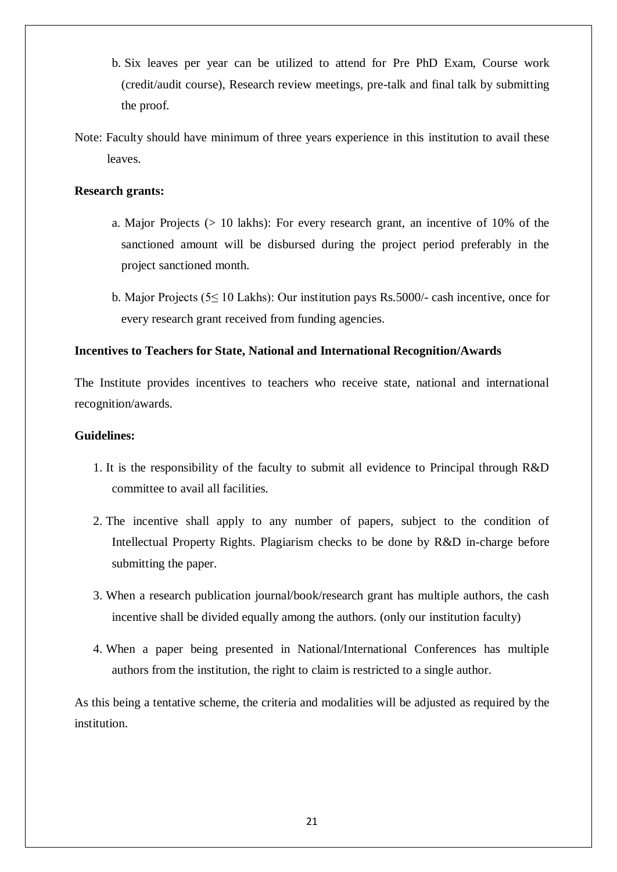- b. Six leaves per year can be utilized to attend for Pre PhD Exam, Course work (credit/audit course), Research review meetings, pre-talk and final talk by submitting the proof.
- Note: Faculty should have minimum of three years experience in this institution to avail these leaves.

# **Research grants:**

- a. Major Projects (> 10 lakhs): For every research grant, an incentive of 10% of the sanctioned amount will be disbursed during the project period preferably in the project sanctioned month.
- b. Major Projects (5≤ 10 Lakhs): Our institution pays Rs.5000/- cash incentive, once for every research grant received from funding agencies.

#### **Incentives to Teachers for State, National and International Recognition/Awards**

The Institute provides incentives to teachers who receive state, national and international recognition/awards.

#### **Guidelines:**

- 1. It is the responsibility of the faculty to submit all evidence to Principal through R&D committee to avail all facilities.
- 2. The incentive shall apply to any number of papers, subject to the condition of Intellectual Property Rights. Plagiarism checks to be done by R&D in-charge before submitting the paper.
- 3. When a research publication journal/book/research grant has multiple authors, the cash incentive shall be divided equally among the authors. (only our institution faculty)
- 4. When a paper being presented in National/International Conferences has multiple authors from the institution, the right to claim is restricted to a single author.

As this being a tentative scheme, the criteria and modalities will be adjusted as required by the institution.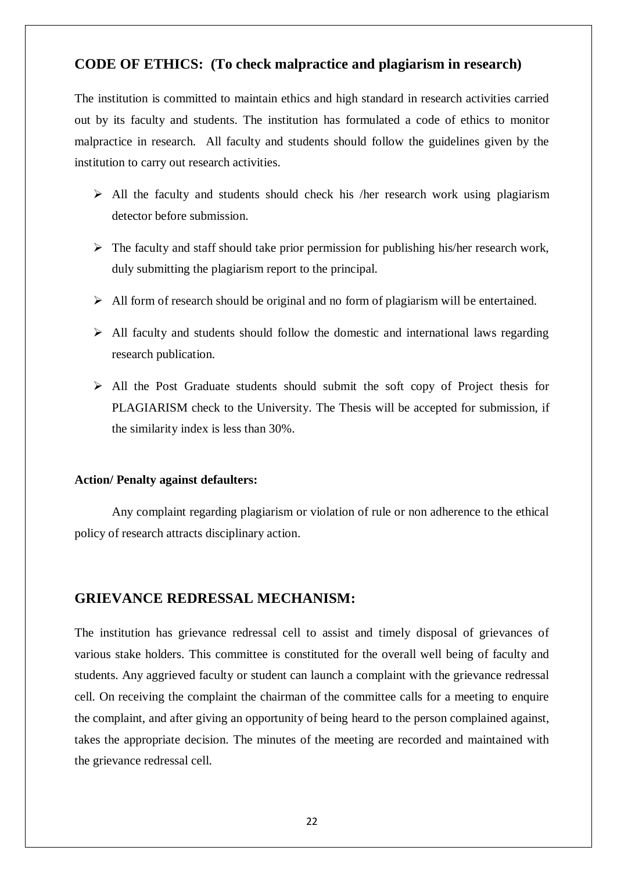# **CODE OF ETHICS: (To check malpractice and plagiarism in research)**

The institution is committed to maintain ethics and high standard in research activities carried out by its faculty and students. The institution has formulated a code of ethics to monitor malpractice in research. All faculty and students should follow the guidelines given by the institution to carry out research activities.

- $\triangleright$  All the faculty and students should check his /her research work using plagiarism detector before submission.
- $\triangleright$  The faculty and staff should take prior permission for publishing his/her research work, duly submitting the plagiarism report to the principal.
- $\triangleright$  All form of research should be original and no form of plagiarism will be entertained.
- $\triangleright$  All faculty and students should follow the domestic and international laws regarding research publication.
- $\triangleright$  All the Post Graduate students should submit the soft copy of Project thesis for PLAGIARISM check to the University. The Thesis will be accepted for submission, if the similarity index is less than 30%.

#### **Action/ Penalty against defaulters:**

Any complaint regarding plagiarism or violation of rule or non adherence to the ethical policy of research attracts disciplinary action.

# **GRIEVANCE REDRESSAL MECHANISM:**

The institution has grievance redressal cell to assist and timely disposal of grievances of various stake holders. This committee is constituted for the overall well being of faculty and students. Any aggrieved faculty or student can launch a complaint with the grievance redressal cell. On receiving the complaint the chairman of the committee calls for a meeting to enquire the complaint, and after giving an opportunity of being heard to the person complained against, takes the appropriate decision. The minutes of the meeting are recorded and maintained with the grievance redressal cell.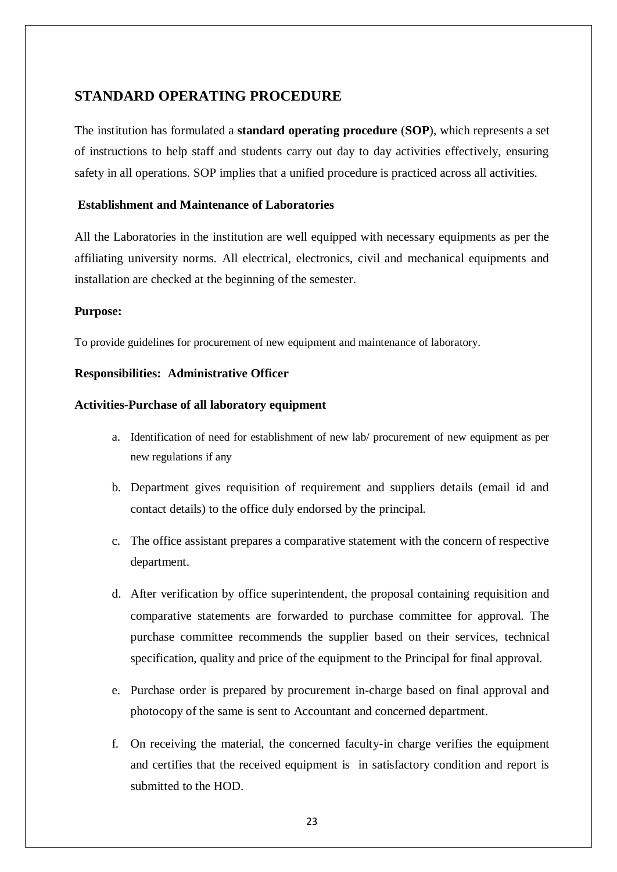# **STANDARD OPERATING PROCEDURE**

The institution has formulated a **standard operating procedure** (**SOP**), which represents a set of instructions to help staff and students carry out day to day activities effectively, ensuring safety in all operations. SOP implies that a unified procedure is practiced across all activities.

#### **Establishment and Maintenance of Laboratories**

All the Laboratories in the institution are well equipped with necessary equipments as per the affiliating university norms. All electrical, electronics, civil and mechanical equipments and installation are checked at the beginning of the semester.

#### **Purpose:**

To provide guidelines for procurement of new equipment and maintenance of laboratory.

#### **Responsibilities: Administrative Officer**

#### **Activities-Purchase of all laboratory equipment**

- a. Identification of need for establishment of new lab/ procurement of new equipment as per new regulations if any
- b. Department gives requisition of requirement and suppliers details (email id and contact details) to the office duly endorsed by the principal.
- c. The office assistant prepares a comparative statement with the concern of respective department.
- d. After verification by office superintendent, the proposal containing requisition and comparative statements are forwarded to purchase committee for approval. The purchase committee recommends the supplier based on their services, technical specification, quality and price of the equipment to the Principal for final approval.
- e. Purchase order is prepared by procurement in-charge based on final approval and photocopy of the same is sent to Accountant and concerned department.
- f. On receiving the material, the concerned faculty-in charge verifies the equipment and certifies that the received equipment is in satisfactory condition and report is submitted to the HOD.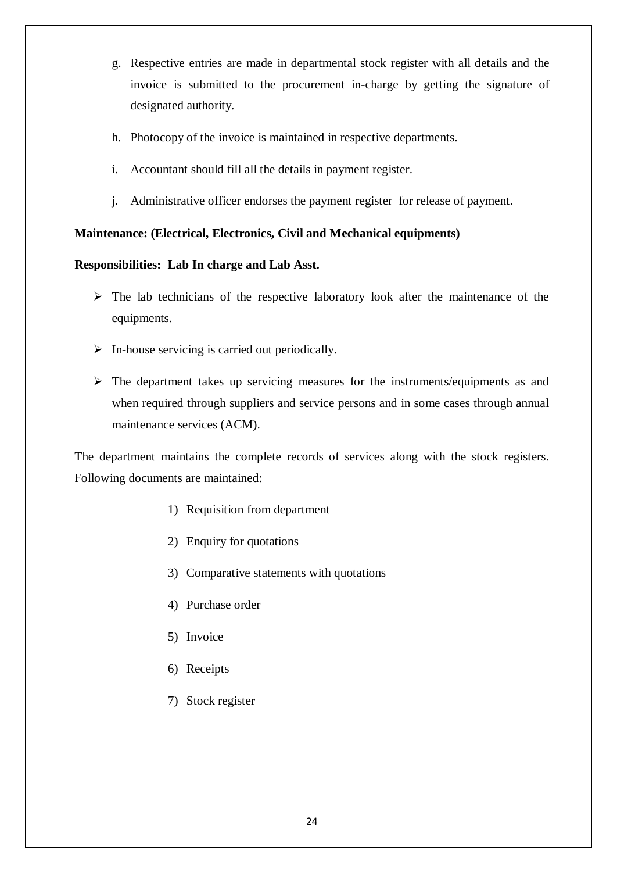- g. Respective entries are made in departmental stock register with all details and the invoice is submitted to the procurement in-charge by getting the signature of designated authority.
- h. Photocopy of the invoice is maintained in respective departments.
- i. Accountant should fill all the details in payment register.
- j. Administrative officer endorses the payment register for release of payment.

# **Maintenance: (Electrical, Electronics, Civil and Mechanical equipments)**

# **Responsibilities: Lab In charge and Lab Asst.**

- $\triangleright$  The lab technicians of the respective laboratory look after the maintenance of the equipments.
- $\triangleright$  In-house servicing is carried out periodically.
- $\triangleright$  The department takes up servicing measures for the instruments/equipments as and when required through suppliers and service persons and in some cases through annual maintenance services (ACM).

The department maintains the complete records of services along with the stock registers. Following documents are maintained:

- 1) Requisition from department
- 2) Enquiry for quotations
- 3) Comparative statements with quotations
- 4) Purchase order
- 5) Invoice
- 6) Receipts
- 7) Stock register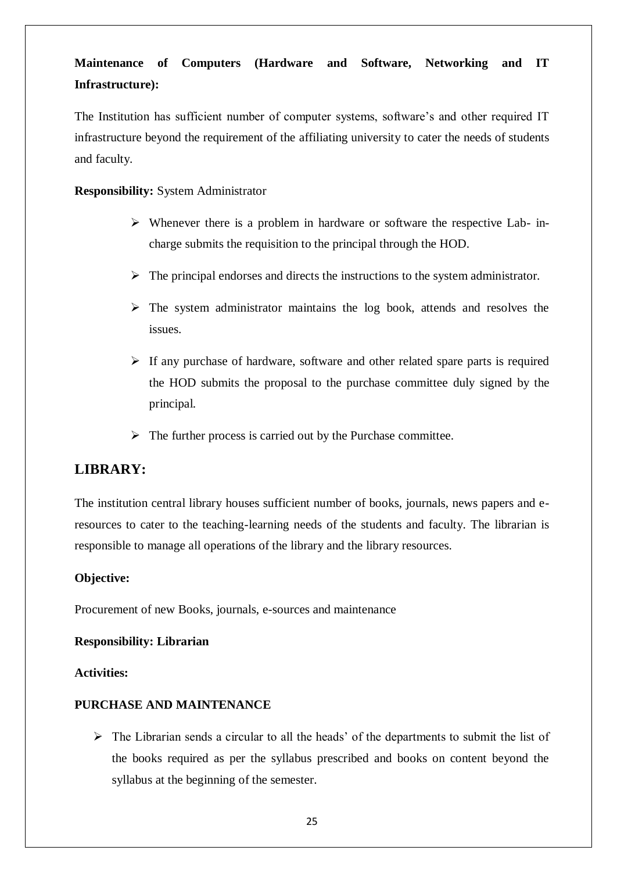# **Maintenance of Computers (Hardware and Software, Networking and IT Infrastructure):**

The Institution has sufficient number of computer systems, software's and other required IT infrastructure beyond the requirement of the affiliating university to cater the needs of students and faculty.

**Responsibility:** System Administrator

- $\triangleright$  Whenever there is a problem in hardware or software the respective Lab- incharge submits the requisition to the principal through the HOD.
- $\triangleright$  The principal endorses and directs the instructions to the system administrator.
- $\triangleright$  The system administrator maintains the log book, attends and resolves the issues.
- $\triangleright$  If any purchase of hardware, software and other related spare parts is required the HOD submits the proposal to the purchase committee duly signed by the principal.
- $\triangleright$  The further process is carried out by the Purchase committee.

# **LIBRARY:**

The institution central library houses sufficient number of books, journals, news papers and eresources to cater to the teaching-learning needs of the students and faculty. The librarian is responsible to manage all operations of the library and the library resources.

# **Objective:**

Procurement of new Books, journals, e-sources and maintenance

#### **Responsibility: Librarian**

#### **Activities:**

# **PURCHASE AND MAINTENANCE**

 $\triangleright$  The Librarian sends a circular to all the heads' of the departments to submit the list of the books required as per the syllabus prescribed and books on content beyond the syllabus at the beginning of the semester.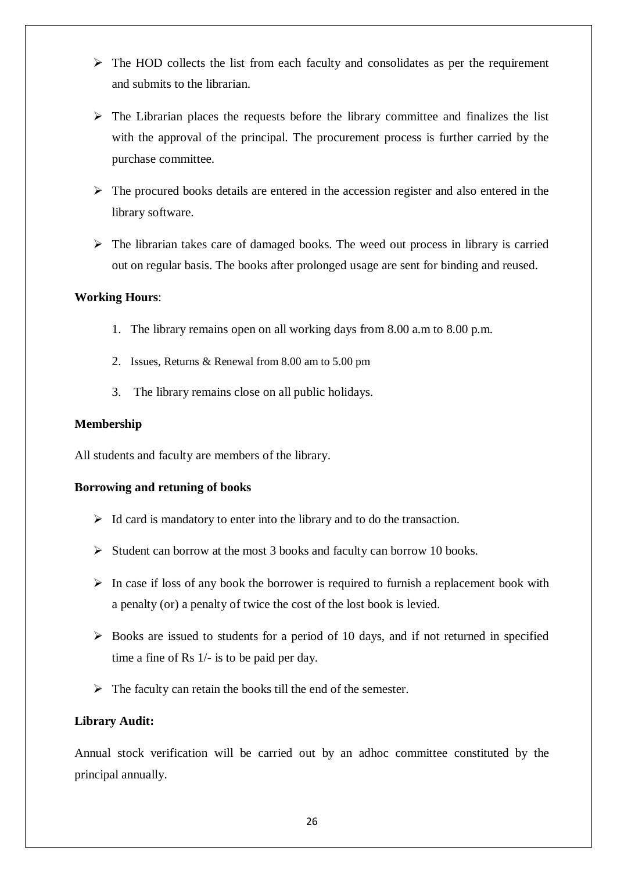- $\triangleright$  The HOD collects the list from each faculty and consolidates as per the requirement and submits to the librarian.
- $\triangleright$  The Librarian places the requests before the library committee and finalizes the list with the approval of the principal. The procurement process is further carried by the purchase committee.
- $\triangleright$  The procured books details are entered in the accession register and also entered in the library software.
- $\triangleright$  The librarian takes care of damaged books. The weed out process in library is carried out on regular basis. The books after prolonged usage are sent for binding and reused.

#### **Working Hours**:

- 1. The library remains open on all working days from 8.00 a.m to 8.00 p.m.
- 2. Issues, Returns & Renewal from 8.00 am to 5.00 pm
- 3. The library remains close on all public holidays.

#### **Membership**

All students and faculty are members of the library.

#### **Borrowing and retuning of books**

- $\triangleright$  Id card is mandatory to enter into the library and to do the transaction.
- $\triangleright$  Student can borrow at the most 3 books and faculty can borrow 10 books.
- $\triangleright$  In case if loss of any book the borrower is required to furnish a replacement book with a penalty (or) a penalty of twice the cost of the lost book is levied.
- $\triangleright$  Books are issued to students for a period of 10 days, and if not returned in specified time a fine of Rs 1/- is to be paid per day.
- $\triangleright$  The faculty can retain the books till the end of the semester.

#### **Library Audit:**

Annual stock verification will be carried out by an adhoc committee constituted by the principal annually.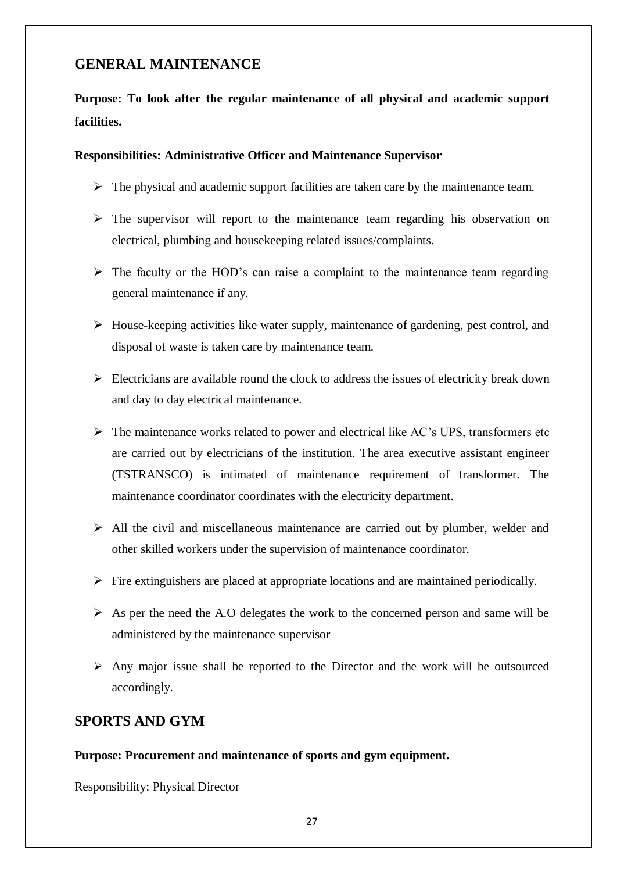# **GENERAL MAINTENANCE**

# **Purpose: To look after the regular maintenance of all physical and academic support facilities.**

#### **Responsibilities: Administrative Officer and Maintenance Supervisor**

- $\triangleright$  The physical and academic support facilities are taken care by the maintenance team.
- $\triangleright$  The supervisor will report to the maintenance team regarding his observation on electrical, plumbing and housekeeping related issues/complaints.
- $\triangleright$  The faculty or the HOD's can raise a complaint to the maintenance team regarding general maintenance if any.
- $\triangleright$  House-keeping activities like water supply, maintenance of gardening, pest control, and disposal of waste is taken care by maintenance team.
- $\triangleright$  Electricians are available round the clock to address the issues of electricity break down and day to day electrical maintenance.
- $\triangleright$  The maintenance works related to power and electrical like AC's UPS, transformers etc are carried out by electricians of the institution. The area executive assistant engineer (TSTRANSCO) is intimated of maintenance requirement of transformer. The maintenance coordinator coordinates with the electricity department.
- $\triangleright$  All the civil and miscellaneous maintenance are carried out by plumber, welder and other skilled workers under the supervision of maintenance coordinator.
- $\triangleright$  Fire extinguishers are placed at appropriate locations and are maintained periodically.
- $\triangleright$  As per the need the A.O delegates the work to the concerned person and same will be administered by the maintenance supervisor
- $\triangleright$  Any major issue shall be reported to the Director and the work will be outsourced accordingly.

# **SPORTS AND GYM**

#### **Purpose: Procurement and maintenance of sports and gym equipment.**

Responsibility: Physical Director